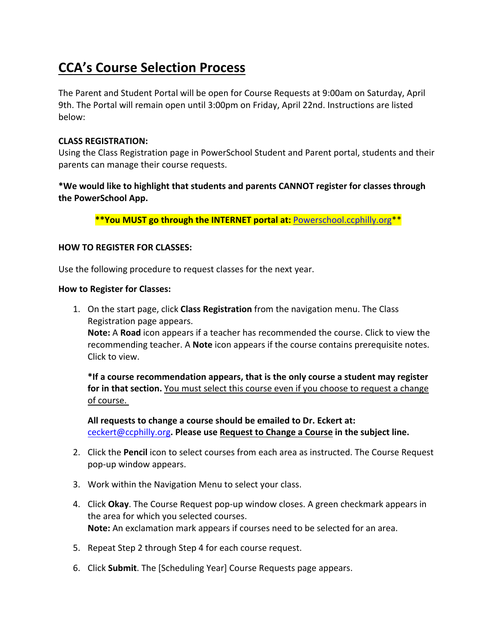# **CCA's Course Selection Process**

The Parent and Student Portal will be open for Course Requests at 9:00am on Saturday, April 9th. The Portal will remain open until 3:00pm on Friday, April 22nd. Instructions are listed below:

### **CLASS REGISTRATION:**

Using the Class Registration page in PowerSchool Student and Parent portal, students and their parents can manage their course requests.

# **\*We would like to highlight that students and parents CANNOT register for classes through the PowerSchool App.**

**\*\*You MUST go through the INTERNET portal at:** Powerschool.ccphilly.org\*\*

### **HOW TO REGISTER FOR CLASSES:**

Use the following procedure to request classes for the next year.

#### **How to Register for Classes:**

1. On the start page, click **Class Registration** from the navigation menu. The Class Registration page appears.

**Note:** A **Road** icon appears if a teacher has recommended the course. Click to view the recommending teacher. A **Note** icon appears if the course contains prerequisite notes. Click to view.

**\*If a course recommendation appears, that is the only course a student may register for in that section.** You must select this course even if you choose to request a change of course.

**All requests to change a course should be emailed to Dr. Eckert at:**  ceckert@ccphilly.org**. Please use Request to Change a Course in the subject line.**

- 2. Click the **Pencil** icon to select courses from each area as instructed. The Course Request pop‐up window appears.
- 3. Work within the Navigation Menu to select your class.
- 4. Click **Okay**. The Course Request pop‐up window closes. A green checkmark appears in the area for which you selected courses. **Note:** An exclamation mark appears if courses need to be selected for an area.
- 5. Repeat Step 2 through Step 4 for each course request.
- 6. Click **Submit**. The [Scheduling Year] Course Requests page appears.